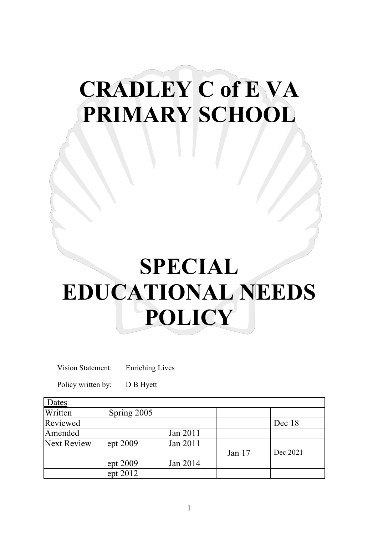# **CRADLEY C of E VA PRIMARY SCHOOL**

# **SPECIAL EDUCATIONAL NEEDS POLICY**

Vision Statement: Enriching Lives

Policy written by: D B Hyett

| Dates              |             |          |          |          |
|--------------------|-------------|----------|----------|----------|
| Written            | Spring 2005 |          |          |          |
| Reviewed           |             |          |          | Dec 18   |
| Amended            |             | Jan 2011 |          |          |
| <b>Next Review</b> | ept 2009    | Jan 2011 |          |          |
|                    |             |          | Jan $17$ | Dec 2021 |
|                    | ept 2009    | Jan 2014 |          |          |
|                    | ept 2012    |          |          |          |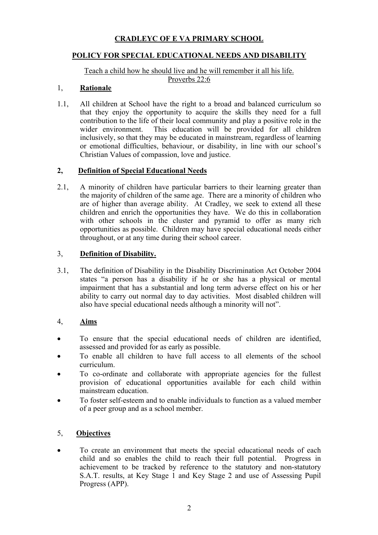# **CRADLEYC OF E VA PRIMARY SCHOOL**

### **POLICY FOR SPECIAL EDUCATIONAL NEEDS AND DISABILITY**

#### Teach a child how he should live and he will remember it all his life. Proverbs 22:6

#### 1, **Rationale**

1.1, All children at School have the right to a broad and balanced curriculum so that they enjoy the opportunity to acquire the skills they need for a full contribution to the life of their local community and play a positive role in the wider environment. This education will be provided for all children inclusively, so that they may be educated in mainstream, regardless of learning or emotional difficulties, behaviour, or disability, in line with our school's Christian Values of compassion, love and justice.

#### **2, Definition of Special Educational Needs**

2.1, A minority of children have particular barriers to their learning greater than the majority of children of the same age. There are a minority of children who are of higher than average ability. At Cradley, we seek to extend all these children and enrich the opportunities they have. We do this in collaboration with other schools in the cluster and pyramid to offer as many rich opportunities as possible. Children may have special educational needs either throughout, or at any time during their school career.

#### 3, **Definition of Disability.**

3.1, The definition of Disability in the Disability Discrimination Act October 2004 states "a person has a disability if he or she has a physical or mental impairment that has a substantial and long term adverse effect on his or her ability to carry out normal day to day activities. Most disabled children will also have special educational needs although a minority will not".

#### 4, **Aims**

- To ensure that the special educational needs of children are identified, assessed and provided for as early as possible.
- To enable all children to have full access to all elements of the school curriculum.
- To co-ordinate and collaborate with appropriate agencies for the fullest provision of educational opportunities available for each child within mainstream education.
- To foster self-esteem and to enable individuals to function as a valued member of a peer group and as a school member.

## 5, **Objectives**

To create an environment that meets the special educational needs of each child and so enables the child to reach their full potential. Progress in achievement to be tracked by reference to the statutory and non-statutory S.A.T. results, at Key Stage 1 and Key Stage 2 and use of Assessing Pupil Progress (APP).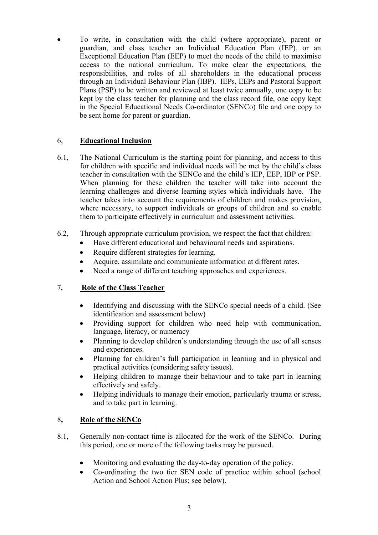• To write, in consultation with the child (where appropriate), parent or guardian, and class teacher an Individual Education Plan (IEP), or an Exceptional Education Plan (EEP) to meet the needs of the child to maximise access to the national curriculum. To make clear the expectations, the responsibilities, and roles of all shareholders in the educational process through an Individual Behaviour Plan (IBP). IEPs, EEPs and Pastoral Support Plans (PSP) to be written and reviewed at least twice annually, one copy to be kept by the class teacher for planning and the class record file, one copy kept in the Special Educational Needs Co-ordinator (SENCo) file and one copy to be sent home for parent or guardian.

## 6, **Educational Inclusion**

- 6.1, The National Curriculum is the starting point for planning, and access to this for children with specific and individual needs will be met by the child's class teacher in consultation with the SENCo and the child's IEP, EEP, IBP or PSP. When planning for these children the teacher will take into account the learning challenges and diverse learning styles which individuals have. The teacher takes into account the requirements of children and makes provision, where necessary, to support individuals or groups of children and so enable them to participate effectively in curriculum and assessment activities.
- 6.2, Through appropriate curriculum provision, we respect the fact that children:
	- Have different educational and behavioural needs and aspirations.
		- Require different strategies for learning.
		- Acquire, assimilate and communicate information at different rates.
		- Need a range of different teaching approaches and experiences.

## 7**, Role of the Class Teacher**

- Identifying and discussing with the SENCo special needs of a child. (See identification and assessment below)
- Providing support for children who need help with communication, language, literacy, or numeracy
- Planning to develop children's understanding through the use of all senses and experiences.
- Planning for children's full participation in learning and in physical and practical activities (considering safety issues).
- Helping children to manage their behaviour and to take part in learning effectively and safely.
- Helping individuals to manage their emotion, particularly trauma or stress, and to take part in learning.

#### 8**, Role of the SENCo**

- 8.1, Generally non-contact time is allocated for the work of the SENCo. During this period, one or more of the following tasks may be pursued.
	- Monitoring and evaluating the day-to-day operation of the policy.
	- Co-ordinating the two tier SEN code of practice within school (school Action and School Action Plus; see below).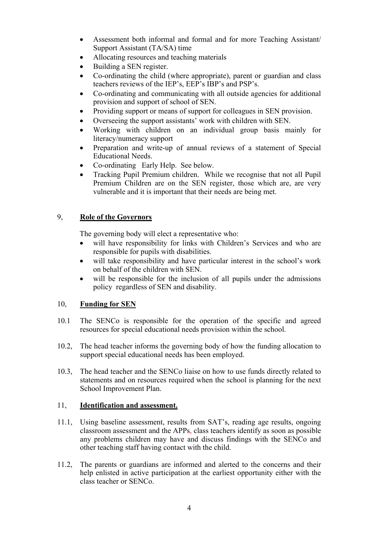- Assessment both informal and formal and for more Teaching Assistant/ Support Assistant (TA/SA) time
- Allocating resources and teaching materials
- Building a SEN register.
- Co-ordinating the child (where appropriate), parent or guardian and class teachers reviews of the IEP's, EEP's IBP's and PSP's.
- Co-ordinating and communicating with all outside agencies for additional provision and support of school of SEN.
- Providing support or means of support for colleagues in SEN provision.
- Overseeing the support assistants' work with children with SEN.
- Working with children on an individual group basis mainly for literacy/numeracy support
- Preparation and write-up of annual reviews of a statement of Special Educational Needs.
- Co-ordinating Early Help. See below.
- Tracking Pupil Premium children. While we recognise that not all Pupil Premium Children are on the SEN register, those which are, are very vulnerable and it is important that their needs are being met.

#### 9, **Role of the Governors**

The governing body will elect a representative who:

- will have responsibility for links with Children's Services and who are responsible for pupils with disabilities.
- will take responsibility and have particular interest in the school's work on behalf of the children with SEN.
- will be responsible for the inclusion of all pupils under the admissions policy regardless of SEN and disability.

#### 10, **Funding for SEN**

- 10.1 The SENCo is responsible for the operation of the specific and agreed resources for special educational needs provision within the school.
- 10.2, The head teacher informs the governing body of how the funding allocation to support special educational needs has been employed.
- 10.3, The head teacher and the SENCo liaise on how to use funds directly related to statements and on resources required when the school is planning for the next School Improvement Plan.

#### 11, **Identification and assessment.**

- 11.1, Using baseline assessment, results from SAT's, reading age results, ongoing classroom assessment and the APPs, class teachers identify as soon as possible any problems children may have and discuss findings with the SENCo and other teaching staff having contact with the child.
- 11.2, The parents or guardians are informed and alerted to the concerns and their help enlisted in active participation at the earliest opportunity either with the class teacher or SENCo.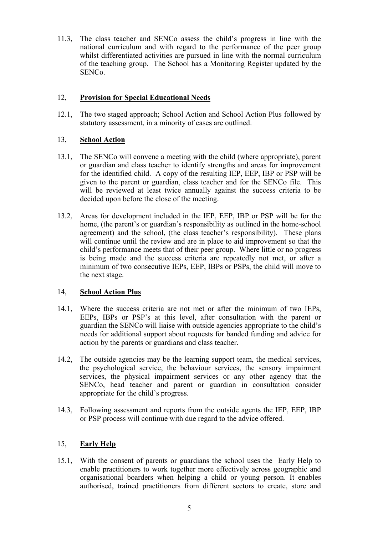11.3, The class teacher and SENCo assess the child's progress in line with the national curriculum and with regard to the performance of the peer group whilst differentiated activities are pursued in line with the normal curriculum of the teaching group. The School has a Monitoring Register updated by the SENCo.

#### 12, **Provision for Special Educational Needs**

12.1, The two staged approach; School Action and School Action Plus followed by statutory assessment, in a minority of cases are outlined.

#### 13, **School Action**

- 13.1, The SENCo will convene a meeting with the child (where appropriate), parent or guardian and class teacher to identify strengths and areas for improvement for the identified child. A copy of the resulting IEP, EEP, IBP or PSP will be given to the parent or guardian, class teacher and for the SENCo file. This will be reviewed at least twice annually against the success criteria to be decided upon before the close of the meeting.
- 13.2, Areas for development included in the IEP, EEP, IBP or PSP will be for the home, (the parent's or guardian's responsibility as outlined in the home-school agreement) and the school, (the class teacher's responsibility). These plans will continue until the review and are in place to aid improvement so that the child's performance meets that of their peer group. Where little or no progress is being made and the success criteria are repeatedly not met, or after a minimum of two consecutive IEPs, EEP, IBPs or PSPs, the child will move to the next stage.

#### 14, **School Action Plus**

- 14.1, Where the success criteria are not met or after the minimum of two IEPs, EEPs, IBPs or PSP's at this level, after consultation with the parent or guardian the SENCo will liaise with outside agencies appropriate to the child's needs for additional support about requests for banded funding and advice for action by the parents or guardians and class teacher.
- 14.2, The outside agencies may be the learning support team, the medical services, the psychological service, the behaviour services, the sensory impairment services, the physical impairment services or any other agency that the SENCo, head teacher and parent or guardian in consultation consider appropriate for the child's progress.
- 14.3, Following assessment and reports from the outside agents the IEP, EEP, IBP or PSP process will continue with due regard to the advice offered.

#### 15, **Early Help**

15.1, With the consent of parents or guardians the school uses the Early Help to enable practitioners to work together more effectively across geographic and organisational boarders when helping a child or young person. It enables authorised, trained practitioners from different sectors to create, store and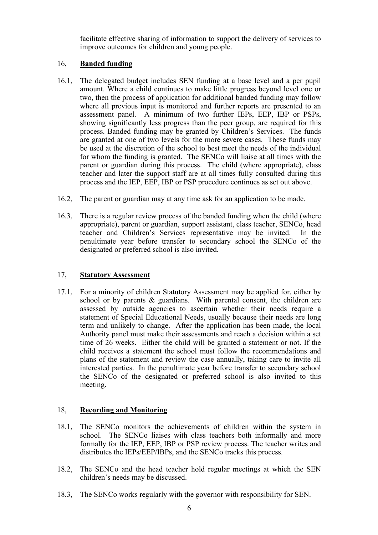facilitate effective sharing of information to support the delivery of services to improve outcomes for children and young people.

## 16, **Banded funding**

- 16.1, The delegated budget includes SEN funding at a base level and a per pupil amount. Where a child continues to make little progress beyond level one or two, then the process of application for additional banded funding may follow where all previous input is monitored and further reports are presented to an assessment panel. A minimum of two further IEPs, EEP, IBP or PSPs, showing significantly less progress than the peer group, are required for this process. Banded funding may be granted by Children's Services. The funds are granted at one of two levels for the more severe cases. These funds may be used at the discretion of the school to best meet the needs of the individual for whom the funding is granted. The SENCo will liaise at all times with the parent or guardian during this process. The child (where appropriate), class teacher and later the support staff are at all times fully consulted during this process and the IEP, EEP, IBP or PSP procedure continues as set out above.
- 16.2, The parent or guardian may at any time ask for an application to be made.
- 16.3, There is a regular review process of the banded funding when the child (where appropriate), parent or guardian, support assistant, class teacher, SENCo, head teacher and Children's Services representative may be invited. In the penultimate year before transfer to secondary school the SENCo of the designated or preferred school is also invited.

## 17, **Statutory Assessment**

17.1, For a minority of children Statutory Assessment may be applied for, either by school or by parents & guardians. With parental consent, the children are assessed by outside agencies to ascertain whether their needs require a statement of Special Educational Needs, usually because their needs are long term and unlikely to change. After the application has been made, the local Authority panel must make their assessments and reach a decision within a set time of 26 weeks. Either the child will be granted a statement or not. If the child receives a statement the school must follow the recommendations and plans of the statement and review the case annually, taking care to invite all interested parties. In the penultimate year before transfer to secondary school the SENCo of the designated or preferred school is also invited to this meeting.

## 18, **Recording and Monitoring**

- 18.1, The SENCo monitors the achievements of children within the system in school. The SENCo liaises with class teachers both informally and more formally for the IEP, EEP, IBP or PSP review process. The teacher writes and distributes the IEPs/EEP/IBPs, and the SENCo tracks this process.
- 18.2, The SENCo and the head teacher hold regular meetings at which the SEN children's needs may be discussed.
- 18.3, The SENCo works regularly with the governor with responsibility for SEN.